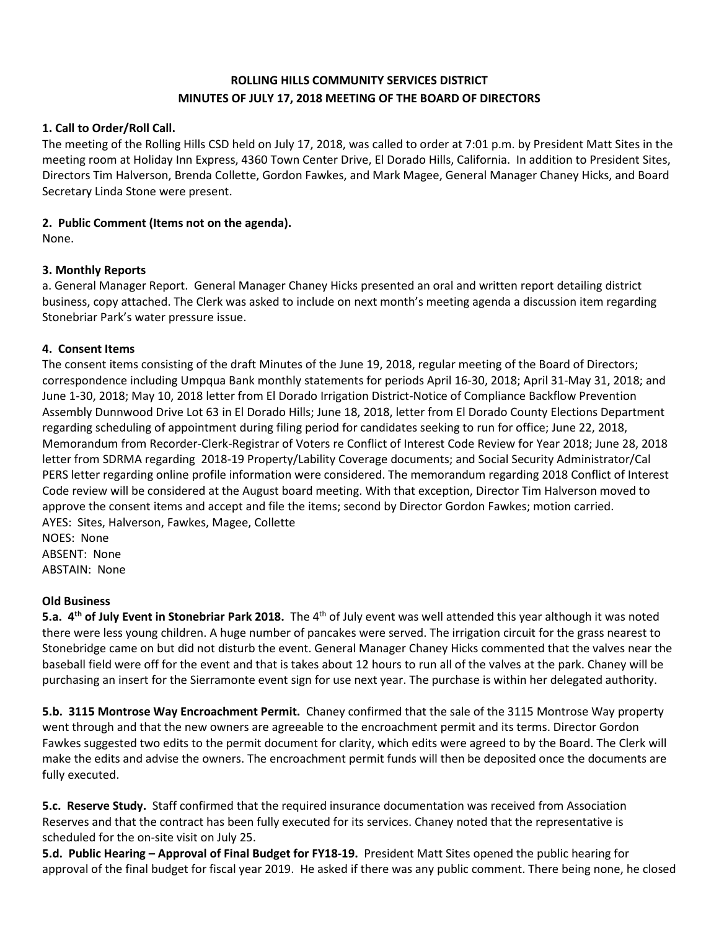# **ROLLING HILLS COMMUNITY SERVICES DISTRICT MINUTES OF JULY 17, 2018 MEETING OF THE BOARD OF DIRECTORS**

### **1. Call to Order/Roll Call.**

The meeting of the Rolling Hills CSD held on July 17, 2018, was called to order at 7:01 p.m. by President Matt Sites in the meeting room at Holiday Inn Express, 4360 Town Center Drive, El Dorado Hills, California. In addition to President Sites, Directors Tim Halverson, Brenda Collette, Gordon Fawkes, and Mark Magee, General Manager Chaney Hicks, and Board Secretary Linda Stone were present.

### **2. Public Comment (Items not on the agenda).**

None.

#### **3. Monthly Reports**

a. General Manager Report. General Manager Chaney Hicks presented an oral and written report detailing district business, copy attached. The Clerk was asked to include on next month's meeting agenda a discussion item regarding Stonebriar Park's water pressure issue.

#### **4. Consent Items**

The consent items consisting of the draft Minutes of the June 19, 2018, regular meeting of the Board of Directors; correspondence including Umpqua Bank monthly statements for periods April 16-30, 2018; April 31-May 31, 2018; and June 1-30, 2018; May 10, 2018 letter from El Dorado Irrigation District-Notice of Compliance Backflow Prevention Assembly Dunnwood Drive Lot 63 in El Dorado Hills; June 18, 2018, letter from El Dorado County Elections Department regarding scheduling of appointment during filing period for candidates seeking to run for office; June 22, 2018, Memorandum from Recorder-Clerk-Registrar of Voters re Conflict of Interest Code Review for Year 2018; June 28, 2018 letter from SDRMA regarding 2018-19 Property/Lability Coverage documents; and Social Security Administrator/Cal PERS letter regarding online profile information were considered. The memorandum regarding 2018 Conflict of Interest Code review will be considered at the August board meeting. With that exception, Director Tim Halverson moved to approve the consent items and accept and file the items; second by Director Gordon Fawkes; motion carried. AYES: Sites, Halverson, Fawkes, Magee, Collette

NOES: None ABSENT: None ABSTAIN: None

#### **Old Business**

**5.a. 4<sup>th</sup> of July Event in Stonebriar Park 2018.** The 4<sup>th</sup> of July event was well attended this year although it was noted there were less young children. A huge number of pancakes were served. The irrigation circuit for the grass nearest to Stonebridge came on but did not disturb the event. General Manager Chaney Hicks commented that the valves near the baseball field were off for the event and that is takes about 12 hours to run all of the valves at the park. Chaney will be purchasing an insert for the Sierramonte event sign for use next year. The purchase is within her delegated authority.

**5.b. 3115 Montrose Way Encroachment Permit.** Chaney confirmed that the sale of the 3115 Montrose Way property went through and that the new owners are agreeable to the encroachment permit and its terms. Director Gordon Fawkes suggested two edits to the permit document for clarity, which edits were agreed to by the Board. The Clerk will make the edits and advise the owners. The encroachment permit funds will then be deposited once the documents are fully executed.

**5.c. Reserve Study.** Staff confirmed that the required insurance documentation was received from Association Reserves and that the contract has been fully executed for its services. Chaney noted that the representative is scheduled for the on-site visit on July 25.

**5.d. Public Hearing – Approval of Final Budget for FY18-19.** President Matt Sites opened the public hearing for approval of the final budget for fiscal year 2019. He asked if there was any public comment. There being none, he closed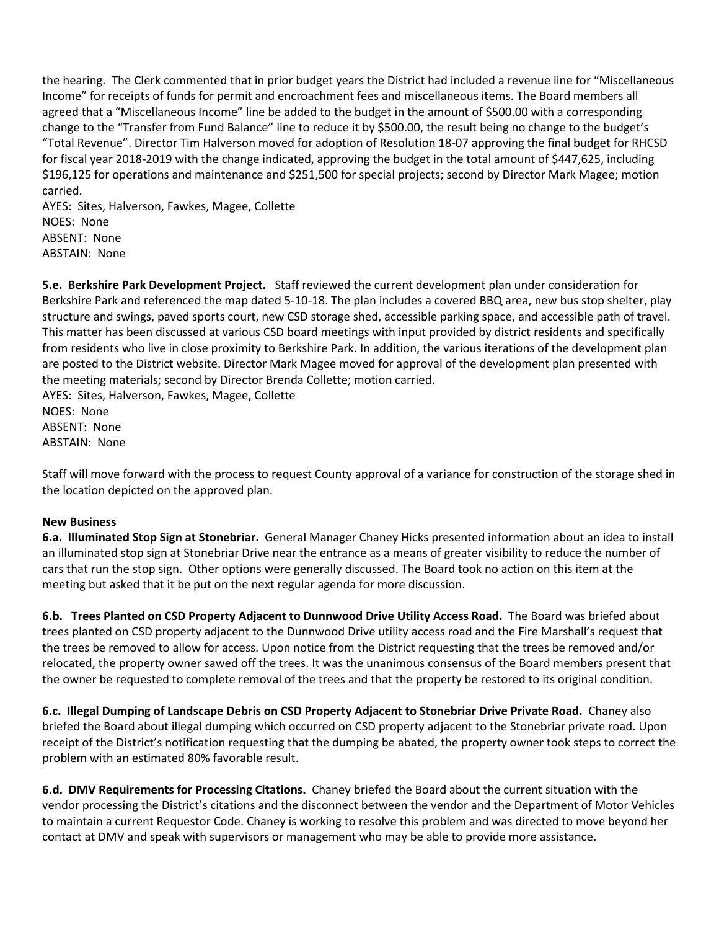the hearing. The Clerk commented that in prior budget years the District had included a revenue line for "Miscellaneous Income" for receipts of funds for permit and encroachment fees and miscellaneous items. The Board members all agreed that a "Miscellaneous Income" line be added to the budget in the amount of \$500.00 with a corresponding change to the "Transfer from Fund Balance" line to reduce it by \$500.00, the result being no change to the budget's "Total Revenue". Director Tim Halverson moved for adoption of Resolution 18-07 approving the final budget for RHCSD for fiscal year 2018-2019 with the change indicated, approving the budget in the total amount of \$447,625, including \$196,125 for operations and maintenance and \$251,500 for special projects; second by Director Mark Magee; motion carried.

AYES: Sites, Halverson, Fawkes, Magee, Collette NOES: None ABSENT: None ABSTAIN: None

**5.e. Berkshire Park Development Project.** Staff reviewed the current development plan under consideration for Berkshire Park and referenced the map dated 5-10-18. The plan includes a covered BBQ area, new bus stop shelter, play structure and swings, paved sports court, new CSD storage shed, accessible parking space, and accessible path of travel. This matter has been discussed at various CSD board meetings with input provided by district residents and specifically from residents who live in close proximity to Berkshire Park. In addition, the various iterations of the development plan are posted to the District website. Director Mark Magee moved for approval of the development plan presented with the meeting materials; second by Director Brenda Collette; motion carried.

AYES: Sites, Halverson, Fawkes, Magee, Collette NOES: None ABSENT: None ABSTAIN: None

Staff will move forward with the process to request County approval of a variance for construction of the storage shed in the location depicted on the approved plan.

## **New Business**

**6.a. Illuminated Stop Sign at Stonebriar.** General Manager Chaney Hicks presented information about an idea to install an illuminated stop sign at Stonebriar Drive near the entrance as a means of greater visibility to reduce the number of cars that run the stop sign. Other options were generally discussed. The Board took no action on this item at the meeting but asked that it be put on the next regular agenda for more discussion.

**6.b. Trees Planted on CSD Property Adjacent to Dunnwood Drive Utility Access Road.** The Board was briefed about trees planted on CSD property adjacent to the Dunnwood Drive utility access road and the Fire Marshall's request that the trees be removed to allow for access. Upon notice from the District requesting that the trees be removed and/or relocated, the property owner sawed off the trees. It was the unanimous consensus of the Board members present that the owner be requested to complete removal of the trees and that the property be restored to its original condition.

**6.c. Illegal Dumping of Landscape Debris on CSD Property Adjacent to Stonebriar Drive Private Road.** Chaney also briefed the Board about illegal dumping which occurred on CSD property adjacent to the Stonebriar private road. Upon receipt of the District's notification requesting that the dumping be abated, the property owner took steps to correct the problem with an estimated 80% favorable result.

**6.d. DMV Requirements for Processing Citations.** Chaney briefed the Board about the current situation with the vendor processing the District's citations and the disconnect between the vendor and the Department of Motor Vehicles to maintain a current Requestor Code. Chaney is working to resolve this problem and was directed to move beyond her contact at DMV and speak with supervisors or management who may be able to provide more assistance.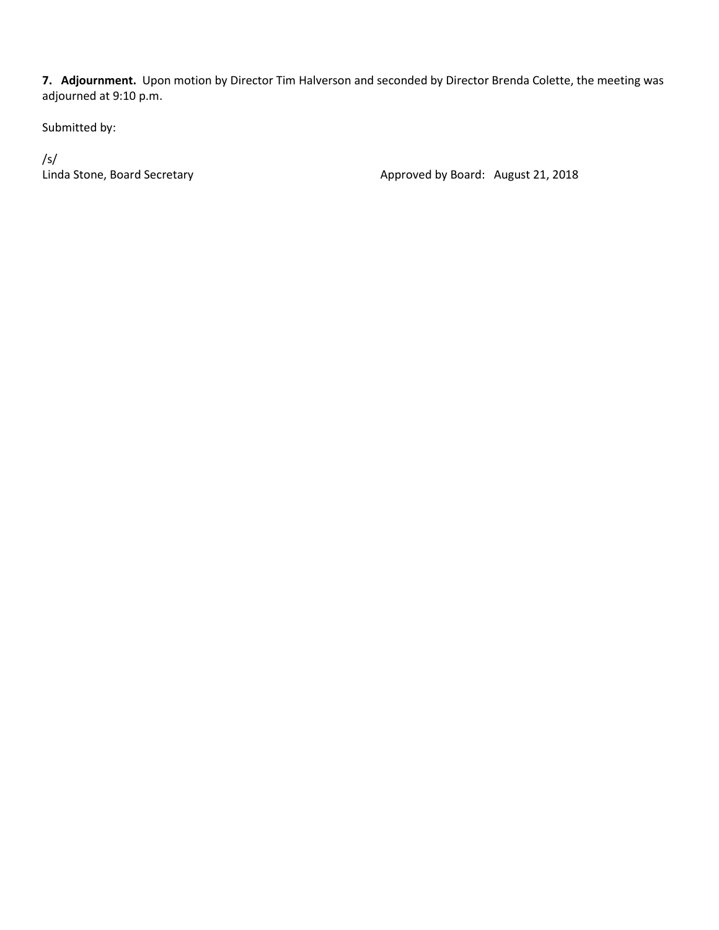**7. Adjournment.** Upon motion by Director Tim Halverson and seconded by Director Brenda Colette, the meeting was adjourned at 9:10 p.m.

Submitted by:

/s/

Linda Stone, Board Secretary **Approved by Board: August 21, 2018**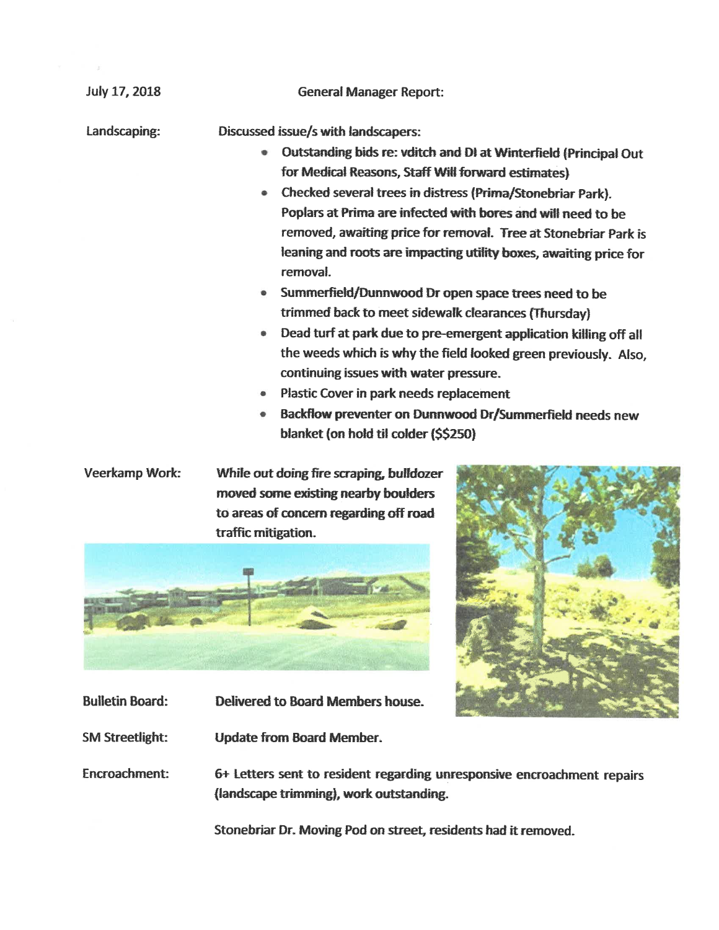| <b>July 17, 2018</b> | <b>General Manager Report:</b>                                                                                            |
|----------------------|---------------------------------------------------------------------------------------------------------------------------|
| Landscaping:         | Discussed issue/s with landscapers:                                                                                       |
|                      | Outstanding bids re: vditch and DI at Winterfield (Principal Out                                                          |
|                      | for Medical Reasons, Staff Will forward estimates)                                                                        |
|                      | Checked several trees in distress (Prima/Stonebriar Park).<br>$\bullet$                                                   |
|                      | Poplars at Prima are infected with bores and will need to be                                                              |
|                      | removed, awaiting price for removal. Tree at Stonebriar Park is                                                           |
|                      | leaning and roots are impacting utility boxes, awaiting price for<br>removal.                                             |
|                      | Summerfield/Dunnwood Dr open space trees need to be                                                                       |
|                      | trimmed back to meet sidewalk clearances (Thursday)                                                                       |
|                      | Dead turf at park due to pre-emergent application killing off all<br>●                                                    |
|                      | the weeds which is why the field looked green previously. Also,                                                           |
|                      | continuing issues with water pressure.                                                                                    |
|                      | Plastic Cover in park needs replacement<br>۰                                                                              |
|                      | Backflow preventer on Dunnwood Dr/Summerfield needs new<br>۰                                                              |
|                      | blanket (on hold til colder (\$\$250)                                                                                     |
| Veerkamp Work:       | While out doing fire scraping, bulldozer<br>moved some existing nearby boulders<br>to areas of concern regarding off road |



- 
- Delivered to Board Members house. **Bulletin Board:**
- **SM Streetlight: Update from Board Member.**

Encroachment: 6+ Letters sent to resident regarding unresponsive encroachment repairs (landscape trimming), work outstanding.

Stonebriar Dr. Moving Pod on street, residents had it removed.